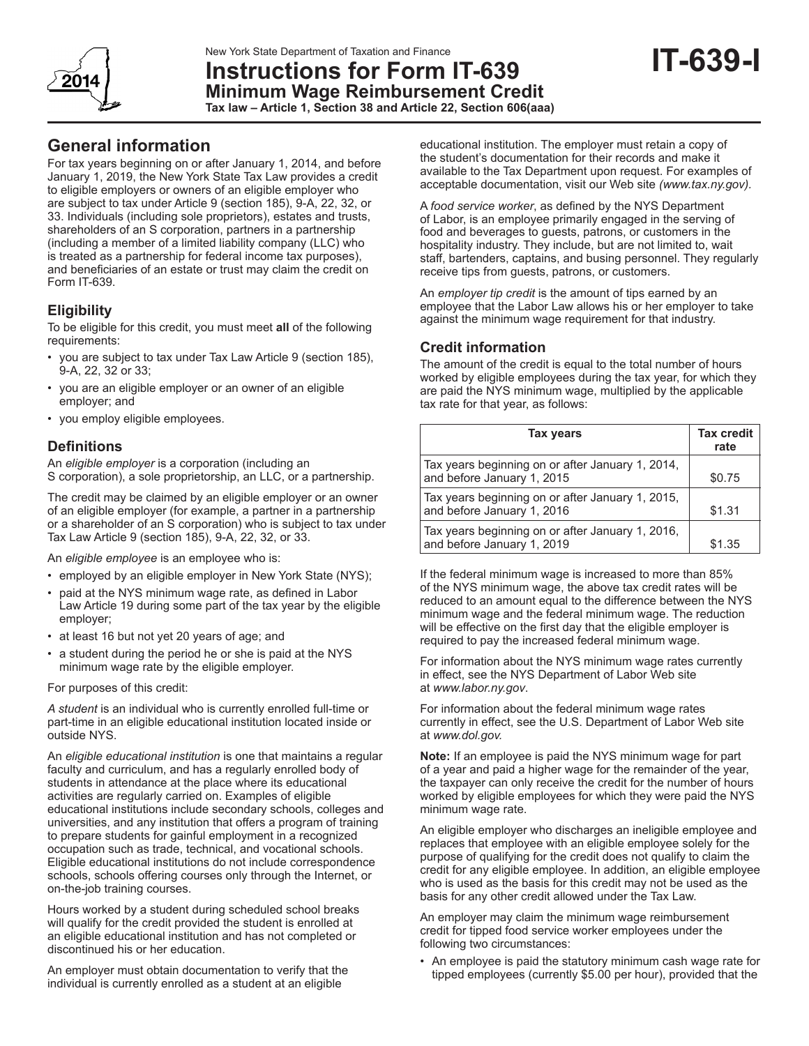

# **Instructions for Form IT-639 Minimum Wage Reimbursement Credit**

**Tax law – Article 1, Section 38 and Article 22, Section 606(aaa)**

# **General information**

For tax years beginning on or after January 1, 2014, and before January 1, 2019, the New York State Tax Law provides a credit to eligible employers or owners of an eligible employer who are subject to tax under Article 9 (section 185), 9-A, 22, 32, or 33. Individuals (including sole proprietors), estates and trusts, shareholders of an S corporation, partners in a partnership (including a member of a limited liability company (LLC) who is treated as a partnership for federal income tax purposes), and beneficiaries of an estate or trust may claim the credit on Form IT-639.

# **Eligibility**

To be eligible for this credit, you must meet **all** of the following requirements:

- you are subject to tax under Tax Law Article 9 (section 185), 9-A, 22, 32 or 33;
- you are an eligible employer or an owner of an eligible employer; and
- you employ eligible employees.

# **Definitions**

An *eligible employer* is a corporation (including an S corporation), a sole proprietorship, an LLC, or a partnership.

The credit may be claimed by an eligible employer or an owner of an eligible employer (for example, a partner in a partnership or a shareholder of an S corporation) who is subject to tax under Tax Law Article 9 (section 185), 9-A, 22, 32, or 33.

An *eligible employee* is an employee who is:

- employed by an eligible employer in New York State (NYS);
- paid at the NYS minimum wage rate, as defined in Labor Law Article 19 during some part of the tax year by the eligible employer;
- at least 16 but not yet 20 years of age; and
- a student during the period he or she is paid at the NYS minimum wage rate by the eligible employer.

For purposes of this credit:

*A student* is an individual who is currently enrolled full-time or part-time in an eligible educational institution located inside or outside NYS.

An *eligible educational institution* is one that maintains a regular faculty and curriculum, and has a regularly enrolled body of students in attendance at the place where its educational activities are regularly carried on. Examples of eligible educational institutions include secondary schools, colleges and universities, and any institution that offers a program of training to prepare students for gainful employment in a recognized occupation such as trade, technical, and vocational schools. Eligible educational institutions do not include correspondence schools, schools offering courses only through the Internet, or on-the-job training courses.

Hours worked by a student during scheduled school breaks will qualify for the credit provided the student is enrolled at an eligible educational institution and has not completed or discontinued his or her education.

An employer must obtain documentation to verify that the individual is currently enrolled as a student at an eligible

educational institution. The employer must retain a copy of the student's documentation for their records and make it available to the Tax Department upon request. For examples of acceptable documentation, visit our Web site *(www.tax.ny.gov).*

A *food service worker*, as defined by the NYS Department of Labor, is an employee primarily engaged in the serving of food and beverages to guests, patrons, or customers in the hospitality industry. They include, but are not limited to, wait staff, bartenders, captains, and busing personnel. They regularly receive tips from guests, patrons, or customers.

An *employer tip credit* is the amount of tips earned by an employee that the Labor Law allows his or her employer to take against the minimum wage requirement for that industry.

## **Credit information**

The amount of the credit is equal to the total number of hours worked by eligible employees during the tax year, for which they are paid the NYS minimum wage, multiplied by the applicable tax rate for that year, as follows:

| <b>Tax years</b>                                                               | <b>Tax credit</b><br>rate |
|--------------------------------------------------------------------------------|---------------------------|
| Tax years beginning on or after January 1, 2014,<br>and before January 1, 2015 | \$0.75                    |
| Tax years beginning on or after January 1, 2015,<br>and before January 1, 2016 | \$1.31                    |
| Tax years beginning on or after January 1, 2016,<br>and before January 1, 2019 | \$1.35                    |

If the federal minimum wage is increased to more than 85% of the NYS minimum wage, the above tax credit rates will be reduced to an amount equal to the difference between the NYS minimum wage and the federal minimum wage. The reduction will be effective on the first day that the eligible employer is required to pay the increased federal minimum wage.

For information about the NYS minimum wage rates currently in effect, see the NYS Department of Labor Web site at *www.labor.ny.gov*.

For information about the federal minimum wage rates currently in effect, see the U.S. Department of Labor Web site at *www.dol.gov.*

**Note:** If an employee is paid the NYS minimum wage for part of a year and paid a higher wage for the remainder of the year, the taxpayer can only receive the credit for the number of hours worked by eligible employees for which they were paid the NYS minimum wage rate.

An eligible employer who discharges an ineligible employee and replaces that employee with an eligible employee solely for the purpose of qualifying for the credit does not qualify to claim the credit for any eligible employee. In addition, an eligible employee who is used as the basis for this credit may not be used as the basis for any other credit allowed under the Tax Law.

An employer may claim the minimum wage reimbursement credit for tipped food service worker employees under the following two circumstances:

• An employee is paid the statutory minimum cash wage rate for tipped employees (currently \$5.00 per hour), provided that the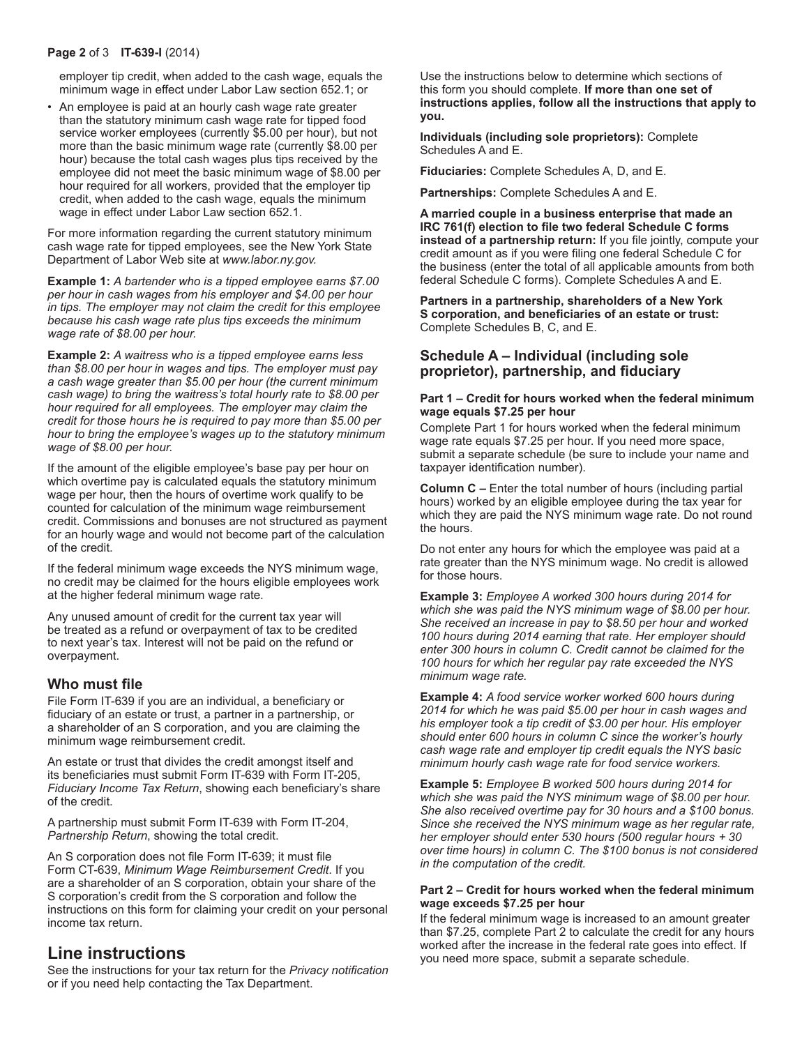#### **Page 2** of 3 **IT-639-I** (2014)

employer tip credit, when added to the cash wage, equals the minimum wage in effect under Labor Law section 652.1; or

• An employee is paid at an hourly cash wage rate greater than the statutory minimum cash wage rate for tipped food service worker employees (currently \$5.00 per hour), but not more than the basic minimum wage rate (currently \$8.00 per hour) because the total cash wages plus tips received by the employee did not meet the basic minimum wage of \$8.00 per hour required for all workers, provided that the employer tip credit, when added to the cash wage, equals the minimum wage in effect under Labor Law section 652.1.

For more information regarding the current statutory minimum cash wage rate for tipped employees, see the New York State Department of Labor Web site at *www.labor.ny.gov.*

**Example 1:** *A bartender who is a tipped employee earns \$7.00 per hour in cash wages from his employer and \$4.00 per hour in tips. The employer may not claim the credit for this employee because his cash wage rate plus tips exceeds the minimum wage rate of \$8.00 per hour.*

**Example 2:** *A waitress who is a tipped employee earns less than \$8.00 per hour in wages and tips. The employer must pay a cash wage greater than \$5.00 per hour (the current minimum cash wage) to bring the waitress's total hourly rate to \$8.00 per hour required for all employees. The employer may claim the credit for those hours he is required to pay more than \$5.00 per hour to bring the employee's wages up to the statutory minimum wage of \$8.00 per hour.*

If the amount of the eligible employee's base pay per hour on which overtime pay is calculated equals the statutory minimum wage per hour, then the hours of overtime work qualify to be counted for calculation of the minimum wage reimbursement credit. Commissions and bonuses are not structured as payment for an hourly wage and would not become part of the calculation of the credit.

If the federal minimum wage exceeds the NYS minimum wage, no credit may be claimed for the hours eligible employees work at the higher federal minimum wage rate.

Any unused amount of credit for the current tax year will be treated as a refund or overpayment of tax to be credited to next year's tax. Interest will not be paid on the refund or overpayment.

#### **Who must file**

File Form IT-639 if you are an individual, a beneficiary or fiduciary of an estate or trust, a partner in a partnership, or a shareholder of an S corporation, and you are claiming the minimum wage reimbursement credit.

An estate or trust that divides the credit amongst itself and its beneficiaries must submit Form IT-639 with Form IT-205, *Fiduciary Income Tax Return*, showing each beneficiary's share of the credit.

A partnership must submit Form IT-639 with Form IT-204, *Partnership Return*, showing the total credit.

An S corporation does not file Form IT-639; it must file Form CT-639, *Minimum Wage Reimbursement Credit*. If you are a shareholder of an S corporation, obtain your share of the S corporation's credit from the S corporation and follow the instructions on this form for claiming your credit on your personal income tax return.

# **Line instructions**

See the instructions for your tax return for the *Privacy notification* or if you need help contacting the Tax Department.

Use the instructions below to determine which sections of this form you should complete. **If more than one set of instructions applies, follow all the instructions that apply to you.**

**Individuals (including sole proprietors):** Complete Schedules A and E.

**Fiduciaries:** Complete Schedules A, D, and E.

**Partnerships:** Complete Schedules A and E.

**A married couple in a business enterprise that made an IRC 761(f) election to file two federal Schedule C forms instead of a partnership return:** If you file jointly, compute your credit amount as if you were filing one federal Schedule C for the business (enter the total of all applicable amounts from both federal Schedule C forms). Complete Schedules A and E.

**Partners in a partnership, shareholders of a New York S corporation, and beneficiaries of an estate or trust:** Complete Schedules B, C, and E.

#### **Schedule A – Individual (including sole proprietor), partnership, and fiduciary**

#### **Part 1 – Credit for hours worked when the federal minimum wage equals \$7.25 per hour**

Complete Part 1 for hours worked when the federal minimum wage rate equals \$7.25 per hour. If you need more space, submit a separate schedule (be sure to include your name and taxpayer identification number).

**Column C –** Enter the total number of hours (including partial hours) worked by an eligible employee during the tax year for which they are paid the NYS minimum wage rate. Do not round the hours.

Do not enter any hours for which the employee was paid at a rate greater than the NYS minimum wage. No credit is allowed for those hours.

**Example 3:** *Employee A worked 300 hours during 2014 for which she was paid the NYS minimum wage of \$8.00 per hour. She received an increase in pay to \$8.50 per hour and worked 100 hours during 2014 earning that rate. Her employer should enter 300 hours in column C. Credit cannot be claimed for the 100 hours for which her regular pay rate exceeded the NYS minimum wage rate.*

**Example 4:** *A food service worker worked 600 hours during 2014 for which he was paid \$5.00 per hour in cash wages and his employer took a tip credit of \$3.00 per hour. His employer should enter 600 hours in column C since the worker's hourly cash wage rate and employer tip credit equals the NYS basic minimum hourly cash wage rate for food service workers.*

**Example 5:** *Employee B worked 500 hours during 2014 for which she was paid the NYS minimum wage of \$8.00 per hour. She also received overtime pay for 30 hours and a \$100 bonus. Since she received the NYS minimum wage as her regular rate, her employer should enter 530 hours (500 regular hours + 30 over time hours) in column C. The \$100 bonus is not considered in the computation of the credit.*

#### **Part 2 – Credit for hours worked when the federal minimum wage exceeds \$7.25 per hour**

If the federal minimum wage is increased to an amount greater than \$7.25, complete Part 2 to calculate the credit for any hours worked after the increase in the federal rate goes into effect. If you need more space, submit a separate schedule.